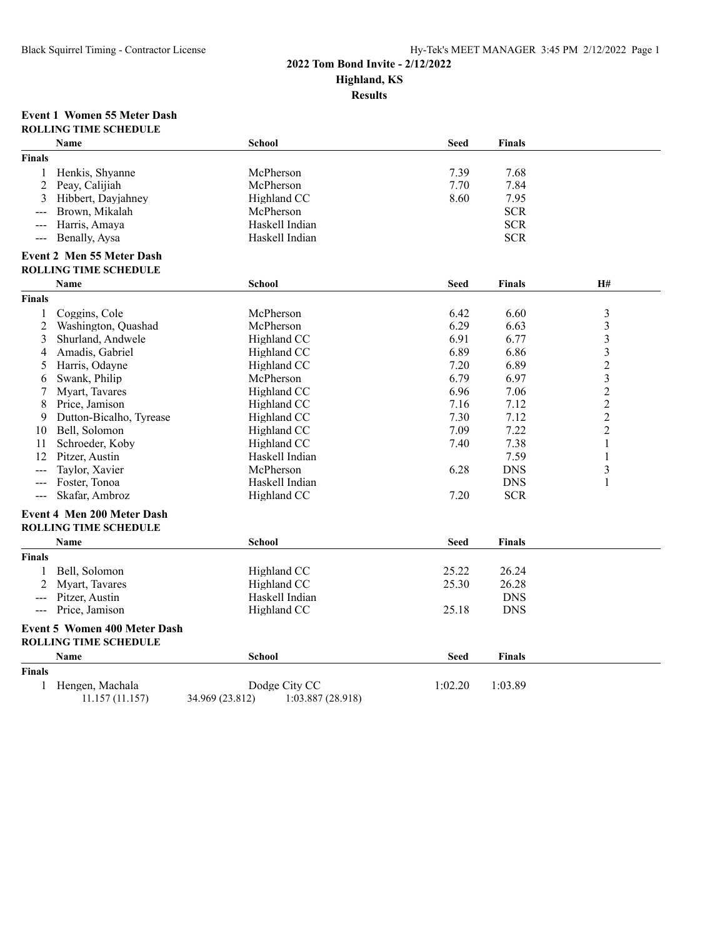# **2022 Tom Bond Invite - 2/12/2022**

**Highland, KS**

**Results**

#### **Event 1 Women 55 Meter Dash ROLLING TIME SCHEDULE**

|                                                                                                                                                                                                                                                                                                                                                                                              | Name                                | <b>School</b>                        | <b>Seed</b> | Finals        |                |
|----------------------------------------------------------------------------------------------------------------------------------------------------------------------------------------------------------------------------------------------------------------------------------------------------------------------------------------------------------------------------------------------|-------------------------------------|--------------------------------------|-------------|---------------|----------------|
| <b>Finals</b>                                                                                                                                                                                                                                                                                                                                                                                |                                     |                                      |             |               |                |
| 1                                                                                                                                                                                                                                                                                                                                                                                            | Henkis, Shyanne                     | McPherson                            | 7.39        | 7.68          |                |
| 2                                                                                                                                                                                                                                                                                                                                                                                            | Peay, Calijiah                      | McPherson                            | 7.70        | 7.84          |                |
| 3                                                                                                                                                                                                                                                                                                                                                                                            | Hibbert, Dayjahney                  | Highland CC                          | 8.60        | 7.95          |                |
|                                                                                                                                                                                                                                                                                                                                                                                              | Brown, Mikalah                      | McPherson                            |             | <b>SCR</b>    |                |
| $\frac{1}{2} \frac{1}{2} \frac{1}{2} \frac{1}{2} \frac{1}{2} \frac{1}{2} \frac{1}{2} \frac{1}{2} \frac{1}{2} \frac{1}{2} \frac{1}{2} \frac{1}{2} \frac{1}{2} \frac{1}{2} \frac{1}{2} \frac{1}{2} \frac{1}{2} \frac{1}{2} \frac{1}{2} \frac{1}{2} \frac{1}{2} \frac{1}{2} \frac{1}{2} \frac{1}{2} \frac{1}{2} \frac{1}{2} \frac{1}{2} \frac{1}{2} \frac{1}{2} \frac{1}{2} \frac{1}{2} \frac{$ | Harris, Amaya                       | Haskell Indian                       |             | <b>SCR</b>    |                |
| $\frac{1}{2} \frac{1}{2} \frac{1}{2} \frac{1}{2} \frac{1}{2} \frac{1}{2} \frac{1}{2} \frac{1}{2} \frac{1}{2} \frac{1}{2} \frac{1}{2} \frac{1}{2} \frac{1}{2} \frac{1}{2} \frac{1}{2} \frac{1}{2} \frac{1}{2} \frac{1}{2} \frac{1}{2} \frac{1}{2} \frac{1}{2} \frac{1}{2} \frac{1}{2} \frac{1}{2} \frac{1}{2} \frac{1}{2} \frac{1}{2} \frac{1}{2} \frac{1}{2} \frac{1}{2} \frac{1}{2} \frac{$ | Benally, Aysa                       | Haskell Indian                       |             | <b>SCR</b>    |                |
|                                                                                                                                                                                                                                                                                                                                                                                              | <b>Event 2 Men 55 Meter Dash</b>    |                                      |             |               |                |
|                                                                                                                                                                                                                                                                                                                                                                                              | <b>ROLLING TIME SCHEDULE</b>        |                                      |             |               |                |
|                                                                                                                                                                                                                                                                                                                                                                                              | Name                                | <b>School</b>                        | <b>Seed</b> | Finals        | H#             |
| <b>Finals</b>                                                                                                                                                                                                                                                                                                                                                                                |                                     |                                      |             |               |                |
| 1                                                                                                                                                                                                                                                                                                                                                                                            | Coggins, Cole                       | McPherson                            | 6.42        | 6.60          | $\mathfrak{Z}$ |
| 2                                                                                                                                                                                                                                                                                                                                                                                            | Washington, Quashad                 | McPherson                            | 6.29        | 6.63          | $\mathfrak{Z}$ |
| 3                                                                                                                                                                                                                                                                                                                                                                                            | Shurland, Andwele                   | Highland CC                          | 6.91        | 6.77          | $\mathfrak{Z}$ |
| 4                                                                                                                                                                                                                                                                                                                                                                                            | Amadis, Gabriel                     | Highland CC                          | 6.89        | 6.86          | $\mathfrak{Z}$ |
| 5                                                                                                                                                                                                                                                                                                                                                                                            | Harris, Odayne                      | Highland CC                          | 7.20        | 6.89          | $\overline{c}$ |
| 6                                                                                                                                                                                                                                                                                                                                                                                            | Swank, Philip                       | McPherson                            | 6.79        | 6.97          | 3              |
| 7                                                                                                                                                                                                                                                                                                                                                                                            | Myart, Tavares                      | Highland CC                          | 6.96        | 7.06          | $\overline{c}$ |
| 8                                                                                                                                                                                                                                                                                                                                                                                            | Price, Jamison                      | Highland CC                          | 7.16        | 7.12          | $\overline{c}$ |
| 9                                                                                                                                                                                                                                                                                                                                                                                            | Dutton-Bicalho, Tyrease             | Highland CC                          | 7.30        | 7.12          | $\overline{c}$ |
| 10                                                                                                                                                                                                                                                                                                                                                                                           | Bell, Solomon                       | Highland CC                          | 7.09        | 7.22          | $\overline{2}$ |
| 11                                                                                                                                                                                                                                                                                                                                                                                           | Schroeder, Koby                     | Highland CC                          | 7.40        | 7.38          | $\mathbf{1}$   |
| 12                                                                                                                                                                                                                                                                                                                                                                                           | Pitzer, Austin                      | Haskell Indian                       |             | 7.59          | $\mathbf{1}$   |
|                                                                                                                                                                                                                                                                                                                                                                                              | Taylor, Xavier                      | McPherson                            | 6.28        | <b>DNS</b>    | 3              |
| $\sim$ $\sim$ $\sim$                                                                                                                                                                                                                                                                                                                                                                         | Foster, Tonoa                       | Haskell Indian                       |             | <b>DNS</b>    | $\mathbf{1}$   |
| $\sim$ $\sim$ $\sim$                                                                                                                                                                                                                                                                                                                                                                         | Skafar, Ambroz                      | Highland CC                          | 7.20        | <b>SCR</b>    |                |
|                                                                                                                                                                                                                                                                                                                                                                                              | Event 4 Men 200 Meter Dash          |                                      |             |               |                |
|                                                                                                                                                                                                                                                                                                                                                                                              | <b>ROLLING TIME SCHEDULE</b>        |                                      |             |               |                |
|                                                                                                                                                                                                                                                                                                                                                                                              | Name                                | <b>School</b>                        | <b>Seed</b> | Finals        |                |
| <b>Finals</b>                                                                                                                                                                                                                                                                                                                                                                                |                                     |                                      |             |               |                |
| 1                                                                                                                                                                                                                                                                                                                                                                                            | Bell, Solomon                       | Highland CC                          | 25.22       | 26.24         |                |
| 2                                                                                                                                                                                                                                                                                                                                                                                            | Myart, Tavares                      | Highland CC                          | 25.30       | 26.28         |                |
| $\frac{1}{2}$                                                                                                                                                                                                                                                                                                                                                                                | Pitzer, Austin                      | Haskell Indian                       |             | <b>DNS</b>    |                |
| $\frac{1}{2}$                                                                                                                                                                                                                                                                                                                                                                                | Price, Jamison                      | Highland CC                          | 25.18       | <b>DNS</b>    |                |
|                                                                                                                                                                                                                                                                                                                                                                                              | <b>Event 5 Women 400 Meter Dash</b> |                                      |             |               |                |
|                                                                                                                                                                                                                                                                                                                                                                                              | <b>ROLLING TIME SCHEDULE</b>        |                                      |             |               |                |
|                                                                                                                                                                                                                                                                                                                                                                                              | Name                                | <b>School</b>                        | <b>Seed</b> | <b>Finals</b> |                |
| <b>Finals</b>                                                                                                                                                                                                                                                                                                                                                                                |                                     |                                      |             |               |                |
| 1                                                                                                                                                                                                                                                                                                                                                                                            | Hengen, Machala                     | Dodge City CC                        | 1:02.20     | 1:03.89       |                |
|                                                                                                                                                                                                                                                                                                                                                                                              | 11.157 (11.157)                     | 34.969 (23.812)<br>1:03.887 (28.918) |             |               |                |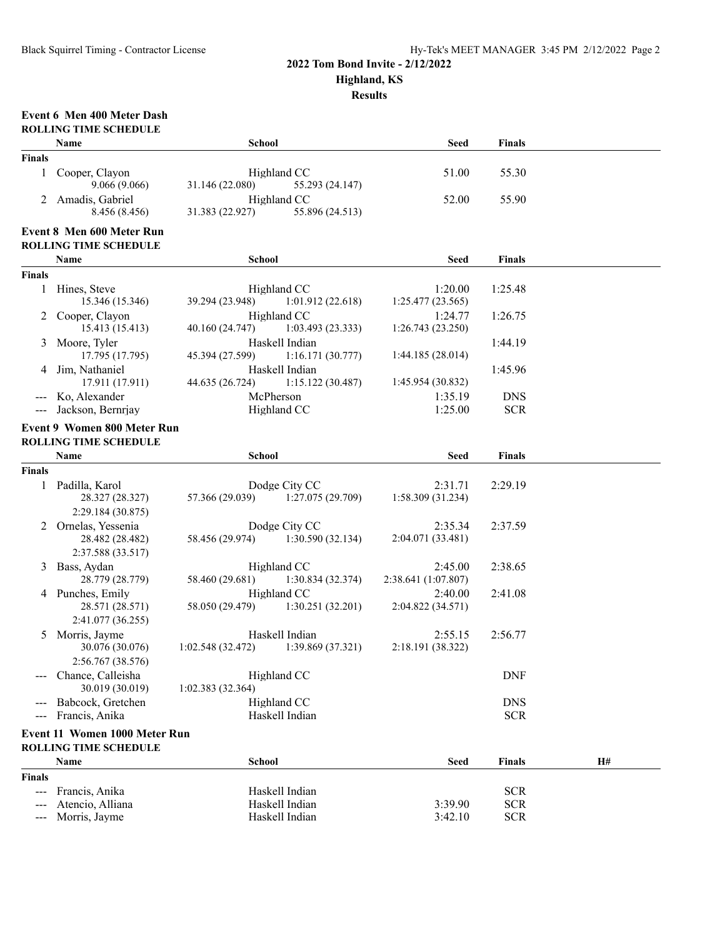#### **2022 Tom Bond Invite - 2/12/2022**

**Highland, KS**

**Results**

## **Event 6 Men 400 Meter Dash**

|                     | <b>ROLLING TIME SCHEDULE</b>                                       |                  |                                                    |                                |                          |    |  |
|---------------------|--------------------------------------------------------------------|------------------|----------------------------------------------------|--------------------------------|--------------------------|----|--|
|                     | Name                                                               | <b>School</b>    |                                                    | <b>Seed</b>                    | <b>Finals</b>            |    |  |
| <b>Finals</b>       |                                                                    |                  |                                                    |                                |                          |    |  |
| 1                   | Cooper, Clayon<br>9.066(9.066)                                     | 31.146 (22.080)  | Highland CC<br>55.293 (24.147)                     | 51.00                          | 55.30                    |    |  |
| 2                   | Amadis, Gabriel<br>8.456 (8.456)                                   | 31.383 (22.927)  | Highland CC<br>55.896 (24.513)                     | 52.00                          | 55.90                    |    |  |
|                     | Event 8 Men 600 Meter Run                                          |                  |                                                    |                                |                          |    |  |
|                     | <b>ROLLING TIME SCHEDULE</b>                                       |                  |                                                    |                                |                          |    |  |
|                     | Name                                                               | <b>School</b>    |                                                    | <b>Seed</b>                    | <b>Finals</b>            |    |  |
| <b>Finals</b>       |                                                                    |                  |                                                    |                                |                          |    |  |
|                     | 1 Hines, Steve<br>15.346 (15.346)                                  | 39.294 (23.948)  | Highland CC<br>1:01.912(22.618)                    | 1:20.00<br>1:25.477 (23.565)   | 1:25.48                  |    |  |
| 2                   | Cooper, Clayon<br>15.413 (15.413)                                  | 40.160 (24.747)  | Highland CC<br>1:03.493(23.333)                    | 1:24.77<br>1:26.743 (23.250)   | 1:26.75                  |    |  |
| 3                   | Moore, Tyler<br>17.795 (17.795)                                    | 45.394 (27.599)  | Haskell Indian<br>1:16.171(30.777)                 | 1:44.185 (28.014)              | 1:44.19                  |    |  |
| 4                   | Jim, Nathaniel<br>17.911 (17.911)                                  | 44.635 (26.724)  | Haskell Indian<br>1:15.122(30.487)                 | 1:45.954 (30.832)              | 1:45.96                  |    |  |
|                     | Ko, Alexander                                                      |                  | McPherson                                          | 1:35.19                        | <b>DNS</b>               |    |  |
|                     | Jackson, Bernrjay                                                  |                  | Highland CC                                        | 1:25.00                        | <b>SCR</b>               |    |  |
|                     | <b>Event 9 Women 800 Meter Run</b><br><b>ROLLING TIME SCHEDULE</b> |                  |                                                    |                                |                          |    |  |
|                     | Name                                                               | <b>School</b>    |                                                    | <b>Seed</b>                    | <b>Finals</b>            |    |  |
| <b>Finals</b>       |                                                                    |                  |                                                    |                                |                          |    |  |
| 1                   | Padilla, Karol<br>28.327 (28.327)<br>2:29.184 (30.875)             | 57.366 (29.039)  | Dodge City CC<br>1:27.075(29.709)                  | 2:31.71<br>1:58.309 (31.234)   | 2:29.19                  |    |  |
| 2                   | Ornelas, Yessenia<br>28.482 (28.482)<br>2:37.588 (33.517)          |                  | Dodge City CC<br>58.456 (29.974) 1:30.590 (32.134) | 2:35.34<br>2:04.071 (33.481)   | 2:37.59                  |    |  |
| 3                   | Bass, Aydan<br>28.779 (28.779)                                     | 58.460 (29.681)  | Highland CC<br>1:30.834 (32.374)                   | 2:45.00<br>2:38.641 (1:07.807) | 2:38.65                  |    |  |
|                     | 4 Punches, Emily<br>28.571 (28.571)<br>2:41.077 (36.255)           | 58.050 (29.479)  | Highland CC<br>1:30.251(32.201)                    | 2:40.00<br>2:04.822 (34.571)   | 2:41.08                  |    |  |
| 5                   | Morris, Jayme<br>30.076 (30.076)<br>2:56.767 (38.576)              | 1:02.548(32.472) | Haskell Indian<br>1:39.869 (37.321)                | 2:55.15<br>2:18.191 (38.322)   | 2:56.77                  |    |  |
|                     | Chance, Calleisha<br>30.019 (30.019)                               | 1:02.383(32.364) | Highland CC                                        |                                | <b>DNF</b>               |    |  |
|                     | Babcock, Gretchen<br>Francis, Anika                                |                  | Highland CC<br>Haskell Indian                      |                                | <b>DNS</b><br><b>SCR</b> |    |  |
|                     | Event 11 Women 1000 Meter Run                                      |                  |                                                    |                                |                          |    |  |
|                     | <b>ROLLING TIME SCHEDULE</b>                                       |                  |                                                    |                                |                          |    |  |
|                     | Name                                                               | <b>School</b>    |                                                    | <b>Seed</b>                    | <b>Finals</b>            | H# |  |
| <b>Finals</b>       |                                                                    |                  |                                                    |                                |                          |    |  |
| $\qquad \qquad - -$ | Francis, Anika                                                     |                  | Haskell Indian                                     |                                | <b>SCR</b>               |    |  |
|                     | Atencio, Alliana                                                   |                  | Haskell Indian                                     | 3:39.90                        | <b>SCR</b>               |    |  |
| $---$               | Morris, Jayme                                                      |                  | Haskell Indian                                     | 3:42.10                        | <b>SCR</b>               |    |  |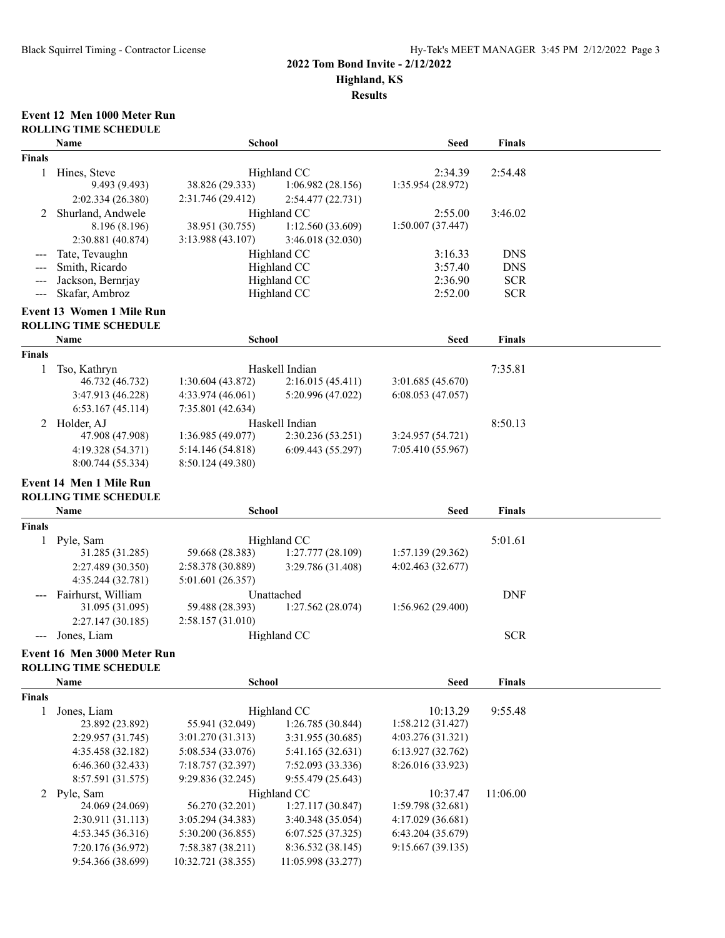#### **2022 Tom Bond Invite - 2/12/2022**

**Highland, KS**

**Results**

#### **Event 12 Men 1000 Meter Run ROLLING TIME SCHEDULE**

|                      | Name                                   | <b>School</b>                           |                                         | <b>Seed</b>       | <b>Finals</b> |  |  |
|----------------------|----------------------------------------|-----------------------------------------|-----------------------------------------|-------------------|---------------|--|--|
| <b>Finals</b>        |                                        |                                         |                                         |                   |               |  |  |
| 1                    | Hines, Steve                           |                                         | Highland CC                             | 2:34.39           | 2:54.48       |  |  |
|                      | 9.493 (9.493)                          | 38.826 (29.333)                         | 1:06.982(28.156)                        | 1:35.954 (28.972) |               |  |  |
|                      | 2:02.334 (26.380)                      | 2:31.746 (29.412)                       | 2:54.477 (22.731)                       |                   |               |  |  |
| 2                    | Shurland, Andwele                      |                                         | Highland CC                             | 2:55.00           | 3:46.02       |  |  |
|                      | 8.196 (8.196)                          | 38.951 (30.755)                         | 1:12.560(33.609)                        | 1:50.007 (37.447) |               |  |  |
|                      | 2:30.881 (40.874)                      | 3:13.988 (43.107)                       | 3:46.018 (32.030)                       |                   |               |  |  |
|                      | Tate, Tevaughn                         |                                         | Highland CC                             | 3:16.33           | <b>DNS</b>    |  |  |
|                      | Smith, Ricardo                         |                                         | Highland CC                             | 3:57.40           | <b>DNS</b>    |  |  |
|                      | Jackson, Bernrjay                      |                                         | Highland CC                             | 2:36.90           | <b>SCR</b>    |  |  |
| $\sim$ $\sim$ $\sim$ | Skafar, Ambroz                         |                                         | Highland CC                             | 2:52.00           | <b>SCR</b>    |  |  |
|                      | Event 13 Women 1 Mile Run              |                                         |                                         |                   |               |  |  |
|                      | <b>ROLLING TIME SCHEDULE</b>           |                                         |                                         |                   |               |  |  |
|                      | Name                                   | <b>School</b>                           |                                         | <b>Seed</b>       | <b>Finals</b> |  |  |
| <b>Finals</b>        |                                        |                                         |                                         |                   |               |  |  |
| 1                    | Tso, Kathryn                           |                                         | Haskell Indian                          |                   | 7:35.81       |  |  |
|                      | 46.732 (46.732)                        | 1:30.604(43.872)                        | 2:16.015(45.411)                        | 3:01.685(45.670)  |               |  |  |
|                      | 3:47.913 (46.228)                      | 4:33.974(46.061)                        | 5:20.996 (47.022)                       | 6:08.053(47.057)  |               |  |  |
|                      | 6:53.167(45.114)                       | 7:35.801 (42.634)                       |                                         |                   |               |  |  |
|                      | 2 Holder, AJ                           |                                         | Haskell Indian                          |                   | 8:50.13       |  |  |
|                      | 47.908 (47.908)                        | 1:36.985 (49.077)                       | 2:30.236 (53.251)                       | 3:24.957 (54.721) |               |  |  |
|                      | 4:19.328 (54.371)                      | 5:14.146 (54.818)                       | 6:09.443(55.297)                        | 7:05.410(55.967)  |               |  |  |
|                      | 8:00.744 (55.334)                      | 8:50.124 (49.380)                       |                                         |                   |               |  |  |
|                      | <b>Event 14 Men 1 Mile Run</b>         |                                         |                                         |                   |               |  |  |
|                      | <b>ROLLING TIME SCHEDULE</b>           |                                         |                                         |                   |               |  |  |
|                      | Name                                   |                                         |                                         |                   |               |  |  |
|                      |                                        | School                                  |                                         | Seed              | <b>Finals</b> |  |  |
| <b>Finals</b>        |                                        |                                         |                                         |                   |               |  |  |
| 1                    | Pyle, Sam                              |                                         | Highland CC                             |                   | 5:01.61       |  |  |
|                      | 31.285 (31.285)                        | 59.668 (28.383)                         | 1:27.777 (28.109)                       | 1:57.139(29.362)  |               |  |  |
|                      | 2:27.489 (30.350)                      | 2:58.378 (30.889)                       | 3:29.786 (31.408)                       | 4:02.463(32.677)  |               |  |  |
|                      | 4:35.244 (32.781)                      | 5:01.601 (26.357)                       |                                         |                   |               |  |  |
|                      | Fairhurst, William                     |                                         | Unattached                              |                   | <b>DNF</b>    |  |  |
|                      | 31.095 (31.095)                        | 59.488 (28.393)                         | 1:27.562 (28.074)                       | 1:56.962(29.400)  |               |  |  |
|                      | 2:27.147 (30.185)                      | 2:58.157(31.010)                        |                                         |                   |               |  |  |
|                      | Jones, Liam                            |                                         | Highland CC                             |                   | <b>SCR</b>    |  |  |
|                      | Event 16 Men 3000 Meter Run            |                                         |                                         |                   |               |  |  |
|                      | <b>ROLLING TIME SCHEDULE</b>           |                                         |                                         |                   |               |  |  |
|                      | Name                                   | <b>School</b>                           |                                         | <b>Seed</b>       | <b>Finals</b> |  |  |
| <b>Finals</b>        |                                        |                                         |                                         |                   |               |  |  |
| 1                    | Jones, Liam                            |                                         | Highland CC                             | 10:13.29          | 9:55.48       |  |  |
|                      | 23.892 (23.892)                        | 55.941 (32.049)                         | 1:26.785 (30.844)                       | 1:58.212(31.427)  |               |  |  |
|                      | 2:29.957 (31.745)                      | 3:01.270 (31.313)                       | 3:31.955 (30.685)                       | 4:03.276 (31.321) |               |  |  |
|                      | 4:35.458 (32.182)                      | 5:08.534 (33.076)                       | 5:41.165 (32.631)                       | 6:13.927 (32.762) |               |  |  |
|                      | 6:46.360 (32.433)                      | 7:18.757 (32.397)                       | 7:52.093 (33.336)                       | 8:26.016 (33.923) |               |  |  |
|                      | 8:57.591 (31.575)                      | 9:29.836 (32.245)                       | 9:55.479 (25.643)                       |                   |               |  |  |
|                      | 2 Pyle, Sam                            |                                         | Highland CC                             | 10:37.47          | 11:06.00      |  |  |
|                      | 24.069 (24.069)                        | 56.270 (32.201)                         | 1:27.117 (30.847)                       | 1:59.798 (32.681) |               |  |  |
|                      | 2:30.911 (31.113)                      | 3:05.294 (34.383)                       | 3:40.348 (35.054)                       | 4:17.029 (36.681) |               |  |  |
|                      | 4:53.345 (36.316)                      | 5:30.200 (36.855)                       | 6:07.525(37.325)                        | 6:43.204 (35.679) |               |  |  |
|                      | 7:20.176 (36.972)<br>9:54.366 (38.699) | 7:58.387 (38.211)<br>10:32.721 (38.355) | 8:36.532 (38.145)<br>11:05.998 (33.277) | 9:15.667(39.135)  |               |  |  |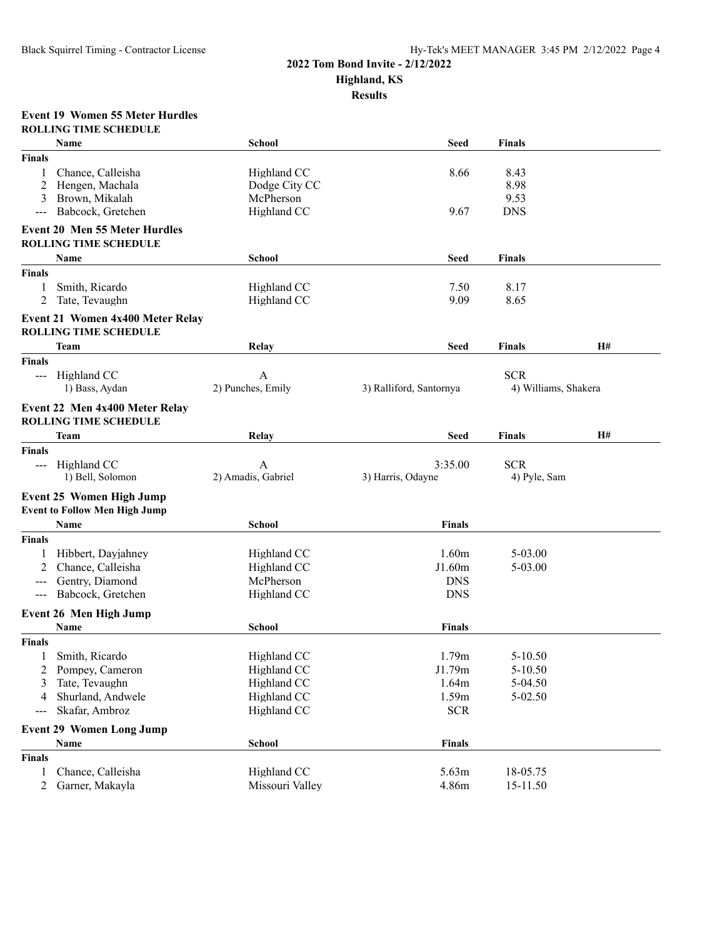### **2022 Tom Bond Invite - 2/12/2022 Highland, KS**

**Results**

#### **Event 19 Women 55 Meter Hurdles ROLLING TIME SCHEDULE**

|                   | Name                                                             | <b>School</b>      | <b>Seed</b>             | <b>Finals</b>        |    |
|-------------------|------------------------------------------------------------------|--------------------|-------------------------|----------------------|----|
| Finals            |                                                                  |                    |                         |                      |    |
| 1                 | Chance, Calleisha                                                | Highland CC        | 8.66                    | 8.43                 |    |
| 2                 | Hengen, Machala                                                  | Dodge City CC      |                         | 8.98                 |    |
| 3                 | Brown, Mikalah                                                   | McPherson          |                         | 9.53                 |    |
| $\qquad \qquad -$ | Babcock, Gretchen                                                | Highland CC        | 9.67                    | <b>DNS</b>           |    |
|                   | <b>Event 20 Men 55 Meter Hurdles</b>                             |                    |                         |                      |    |
|                   | <b>ROLLING TIME SCHEDULE</b>                                     |                    |                         |                      |    |
|                   | Name                                                             | <b>School</b>      | <b>Seed</b>             | <b>Finals</b>        |    |
| <b>Finals</b>     |                                                                  |                    |                         |                      |    |
| 1                 | Smith, Ricardo                                                   | Highland CC        | 7.50                    | 8.17                 |    |
| 2                 | Tate, Tevaughn                                                   | Highland CC        | 9.09                    | 8.65                 |    |
|                   |                                                                  |                    |                         |                      |    |
|                   | Event 21 Women 4x400 Meter Relay<br><b>ROLLING TIME SCHEDULE</b> |                    |                         |                      |    |
|                   | Team                                                             | Relay              | <b>Seed</b>             | <b>Finals</b>        | H# |
| <b>Finals</b>     |                                                                  |                    |                         |                      |    |
|                   | --- Highland CC                                                  | A                  |                         | <b>SCR</b>           |    |
|                   | 1) Bass, Aydan                                                   | 2) Punches, Emily  | 3) Ralliford, Santornya | 4) Williams, Shakera |    |
|                   | Event 22 Men 4x400 Meter Relay                                   |                    |                         |                      |    |
|                   | <b>ROLLING TIME SCHEDULE</b>                                     |                    |                         |                      |    |
|                   |                                                                  |                    |                         |                      | H# |
|                   | Team                                                             | Relay              | <b>Seed</b>             | <b>Finals</b>        |    |
| <b>Finals</b>     |                                                                  |                    |                         |                      |    |
|                   | --- Highland CC                                                  | $\mathbf{A}$       | 3:35.00                 | <b>SCR</b>           |    |
|                   | 1) Bell, Solomon                                                 | 2) Amadis, Gabriel | 3) Harris, Odayne       | 4) Pyle, Sam         |    |
|                   | <b>Event 25 Women High Jump</b>                                  |                    |                         |                      |    |
|                   | <b>Event to Follow Men High Jump</b>                             |                    |                         |                      |    |
|                   | Name                                                             | School             | <b>Finals</b>           |                      |    |
| Finals            |                                                                  |                    |                         |                      |    |
|                   | Hibbert, Dayjahney                                               | Highland CC        | 1.60m                   | 5-03.00              |    |
|                   | Chance, Calleisha                                                | Highland CC        | J1.60m                  | 5-03.00              |    |
|                   | Gentry, Diamond                                                  | McPherson          | <b>DNS</b>              |                      |    |
| $---$             | Babcock, Gretchen                                                | Highland CC        | <b>DNS</b>              |                      |    |
|                   | Event 26 Men High Jump                                           |                    |                         |                      |    |
|                   | Name                                                             | <b>School</b>      | <b>Finals</b>           |                      |    |
| <b>Finals</b>     |                                                                  |                    |                         |                      |    |
|                   |                                                                  |                    |                         |                      |    |
| 1                 | Smith, Ricardo                                                   | Highland CC        | 1.79m                   | $5 - 10.50$          |    |
| 2                 | Pompey, Cameron                                                  | Highland CC        | J1.79m                  | 5-10.50              |    |
| 3                 | Tate, Tevaughn                                                   | Highland CC        | 1.64m                   | 5-04.50              |    |
|                   | Shurland, Andwele                                                | Highland CC        | 1.59m                   | 5-02.50              |    |
|                   | Skafar, Ambroz                                                   | Highland CC        | <b>SCR</b>              |                      |    |
|                   | <b>Event 29 Women Long Jump</b>                                  |                    |                         |                      |    |
|                   | Name                                                             | <b>School</b>      | <b>Finals</b>           |                      |    |
| <b>Finals</b>     |                                                                  |                    |                         |                      |    |
| 1                 | Chance, Calleisha                                                | Highland CC        | 5.63m                   | 18-05.75             |    |
| 2                 | Garner, Makayla                                                  | Missouri Valley    | 4.86m                   | 15-11.50             |    |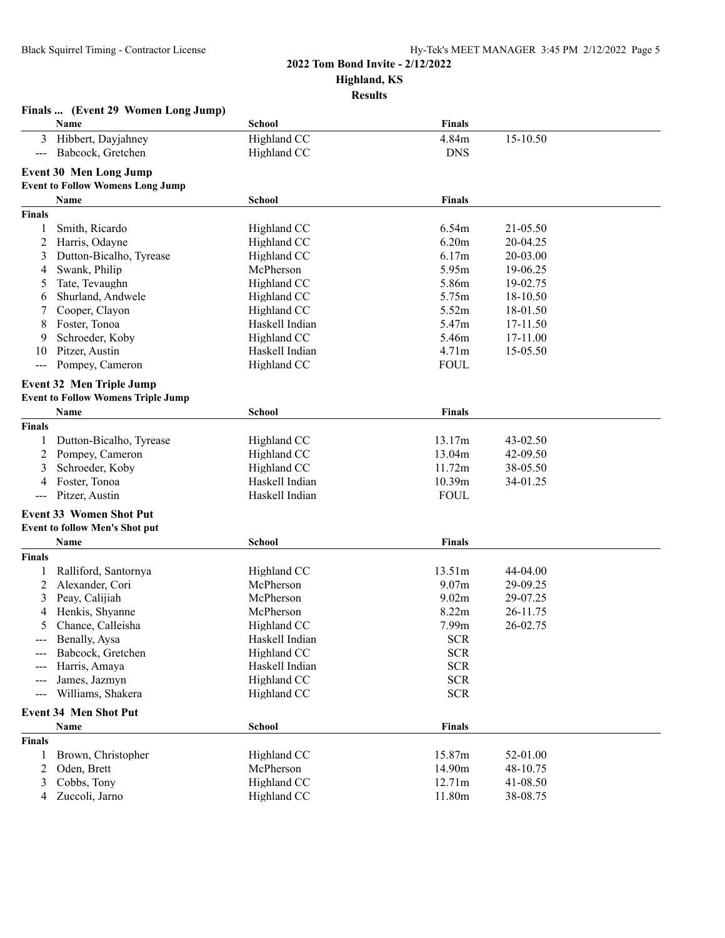## **2022 Tom Bond Invite - 2/12/2022**

**Highland, KS**

**Results**

|                      | Finals  (Event 29 Women Long Jump)        |                |                   |          |  |
|----------------------|-------------------------------------------|----------------|-------------------|----------|--|
|                      | Name                                      | School         | <b>Finals</b>     |          |  |
| 3                    | Hibbert, Dayjahney                        | Highland CC    | 4.84m             | 15-10.50 |  |
| $\sim$ $\sim$ $\sim$ | Babcock, Gretchen                         | Highland CC    | <b>DNS</b>        |          |  |
|                      |                                           |                |                   |          |  |
|                      | <b>Event 30 Men Long Jump</b>             |                |                   |          |  |
|                      | <b>Event to Follow Womens Long Jump</b>   |                |                   |          |  |
|                      | Name                                      | <b>School</b>  | Finals            |          |  |
| <b>Finals</b>        |                                           |                |                   |          |  |
| 1                    | Smith, Ricardo                            | Highland CC    | 6.54m             | 21-05.50 |  |
| 2                    | Harris, Odayne                            | Highland CC    | 6.20m             | 20-04.25 |  |
| 3                    | Dutton-Bicalho, Tyrease                   | Highland CC    | 6.17m             | 20-03.00 |  |
| 4                    | Swank, Philip                             | McPherson      | 5.95m             | 19-06.25 |  |
| 5                    | Tate, Tevaughn                            | Highland CC    | 5.86m             | 19-02.75 |  |
| 6                    | Shurland, Andwele                         | Highland CC    | 5.75m             | 18-10.50 |  |
| 7                    | Cooper, Clayon                            | Highland CC    | 5.52m             | 18-01.50 |  |
| 8                    | Foster, Tonoa                             | Haskell Indian | 5.47m             | 17-11.50 |  |
| 9                    | Schroeder, Koby                           | Highland CC    | 5.46m             | 17-11.00 |  |
| 10                   | Pitzer, Austin                            | Haskell Indian | 4.71m             | 15-05.50 |  |
| ---                  | Pompey, Cameron                           | Highland CC    | <b>FOUL</b>       |          |  |
|                      | <b>Event 32 Men Triple Jump</b>           |                |                   |          |  |
|                      | <b>Event to Follow Womens Triple Jump</b> |                |                   |          |  |
|                      | Name                                      | <b>School</b>  | Finals            |          |  |
| <b>Finals</b>        |                                           |                |                   |          |  |
|                      |                                           |                |                   |          |  |
| 1                    | Dutton-Bicalho, Tyrease                   | Highland CC    | 13.17m            | 43-02.50 |  |
| 2                    | Pompey, Cameron                           | Highland CC    | 13.04m            | 42-09.50 |  |
| 3                    | Schroeder, Koby                           | Highland CC    | 11.72m            | 38-05.50 |  |
| 4                    | Foster, Tonoa                             | Haskell Indian | 10.39m            | 34-01.25 |  |
| $---$                | Pitzer, Austin                            | Haskell Indian | <b>FOUL</b>       |          |  |
|                      | <b>Event 33 Women Shot Put</b>            |                |                   |          |  |
|                      | <b>Event to follow Men's Shot put</b>     |                |                   |          |  |
|                      | Name                                      | School         | <b>Finals</b>     |          |  |
| <b>Finals</b>        |                                           |                |                   |          |  |
|                      | Ralliford, Santornya                      | Highland CC    | 13.51m            | 44-04.00 |  |
| 2                    | Alexander, Cori                           | McPherson      | 9.07 <sub>m</sub> | 29-09.25 |  |
| 3                    | Peay, Calijiah                            | McPherson      | 9.02m             | 29-07.25 |  |
| 4                    | Henkis, Shyanne                           | McPherson      | 8.22m             | 26-11.75 |  |
| 5                    | Chance, Calleisha                         | Highland CC    | 7.99m             | 26-02.75 |  |
| ---                  | Benally, Aysa                             | Haskell Indian | <b>SCR</b>        |          |  |
|                      | Babcock, Gretchen                         | Highland CC    | <b>SCR</b>        |          |  |
|                      | Harris, Amaya                             | Haskell Indian | $SCR$             |          |  |
| ---                  | James, Jazmyn                             | Highland CC    | $SCR$             |          |  |
| ---                  | Williams, Shakera                         | Highland CC    | <b>SCR</b>        |          |  |
|                      |                                           |                |                   |          |  |
|                      | <b>Event 34 Men Shot Put</b>              |                |                   |          |  |
|                      | Name                                      | <b>School</b>  | <b>Finals</b>     |          |  |
| <b>Finals</b>        |                                           |                |                   |          |  |
| 1                    | Brown, Christopher                        | Highland CC    | 15.87m            | 52-01.00 |  |
| 2                    | Oden, Brett                               | McPherson      | 14.90m            | 48-10.75 |  |
| 3                    | Cobbs, Tony                               | Highland CC    | 12.71m            | 41-08.50 |  |
| 4                    | Zuccoli, Jarno                            | Highland CC    | 11.80m            | 38-08.75 |  |